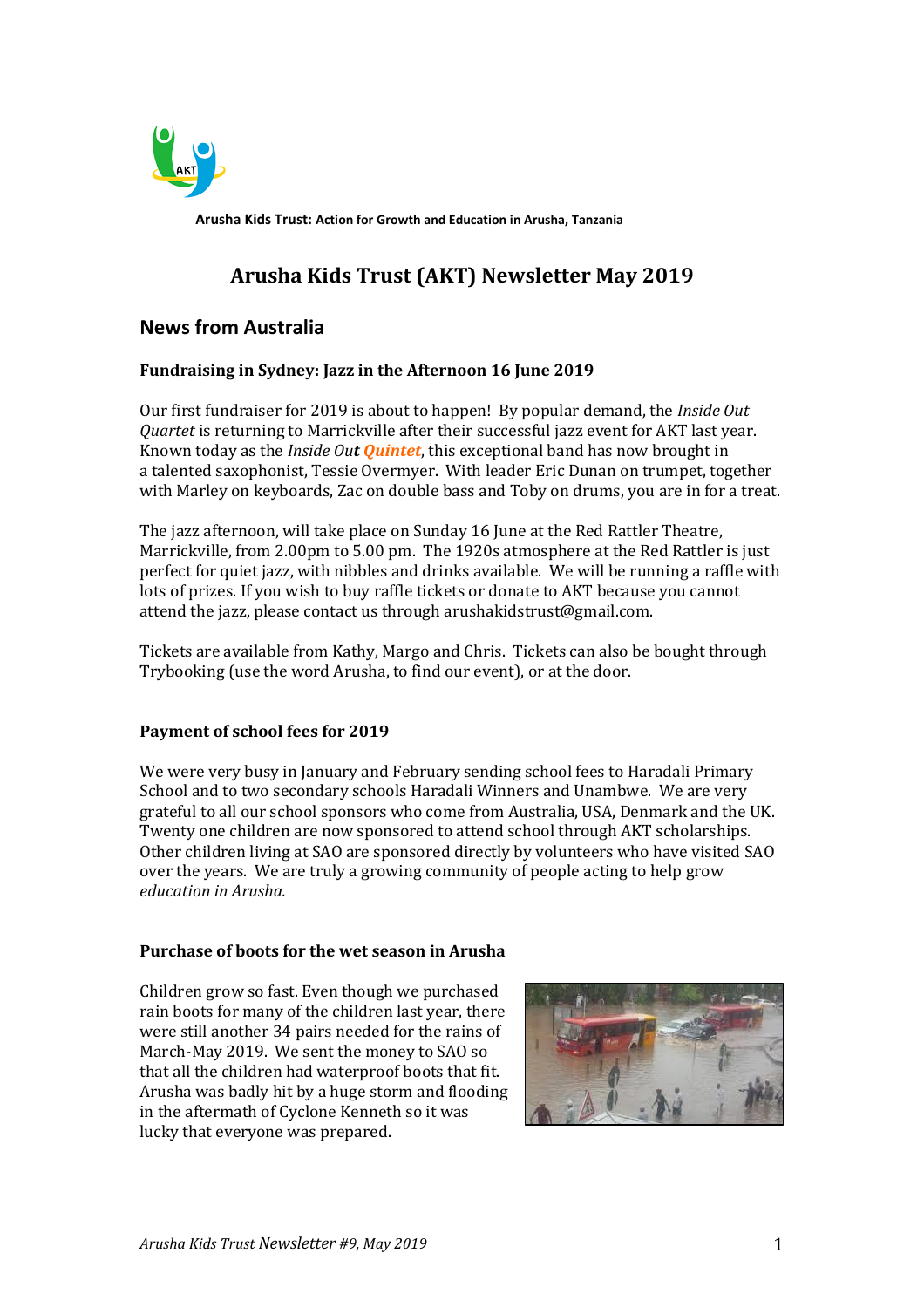

**Arusha Kids Trust: Action for Growth and Education in Arusha, Tanzania**

# **Arusha Kids Trust (AKT) Newsletter May 2019**

# **News from Australia**

## **Fundraising in Sydney: Jazz in the Afternoon 16 June 2019**

Our first fundraiser for 2019 is about to happen! By popular demand, the *Inside Out Quartet* is returning to Marrickville after their successful jazz event for AKT last year. Known today as the *Inside Out Quintet*, this exceptional band has now brought in a talented saxophonist, Tessie Overmyer. With leader Eric Dunan on trumpet, together with Marley on keyboards, Zac on double bass and Toby on drums, you are in for a treat.

The jazz afternoon, will take place on Sunday 16 June at the Red Rattler Theatre, Marrickville, from 2.00pm to 5.00 pm. The 1920s atmosphere at the Red Rattler is just perfect for quiet jazz, with nibbles and drinks available. We will be running a raffle with lots of prizes. If you wish to buy raffle tickets or donate to AKT because you cannot attend the jazz, please contact us through arushakidstrust@gmail.com.

Tickets are available from Kathy, Margo and Chris. Tickets can also be bought through Trybooking (use the word Arusha, to find our event), or at the door.

### **Payment of school fees for 2019**

We were very busy in January and February sending school fees to Haradali Primary School and to two secondary schools Haradali Winners and Unambwe. We are very grateful to all our school sponsors who come from Australia, USA, Denmark and the UK. Twenty one children are now sponsored to attend school through AKT scholarships. Other children living at SAO are sponsored directly by volunteers who have visited SAO over the years. We are truly a growing community of people acting to help grow *education in Arusha.* 

### **Purchase of boots for the wet season in Arusha**

Children grow so fast. Even though we purchased rain boots for many of the children last year, there were still another 34 pairs needed for the rains of March-May 2019. We sent the money to SAO so that all the children had waterproof boots that fit. Arusha was badly hit by a huge storm and flooding in the aftermath of Cyclone Kenneth so it was lucky that everyone was prepared.